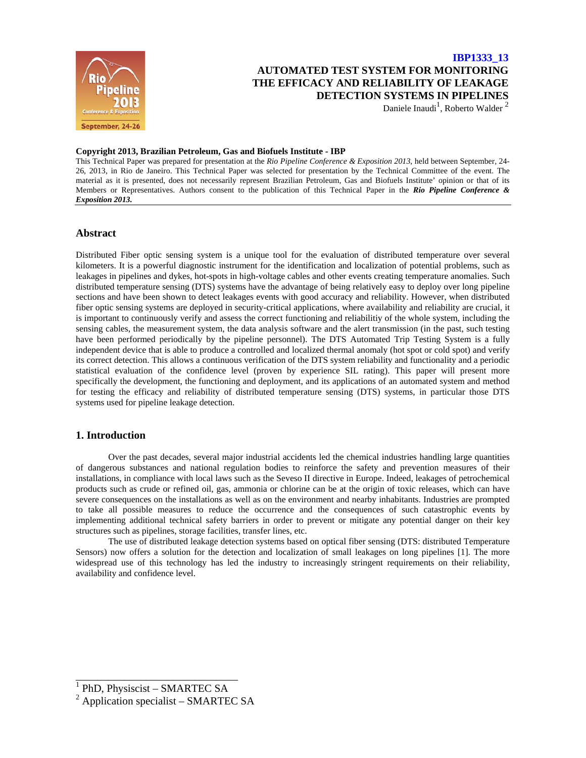

# **IBP1333\_13 AUTOMATED TEST SYSTEM FOR MONITORING THE EFFICACY AND RELIABILITY OF LEAKAGE DETECTION SYSTEMS IN PIPELINES**

Daniele Inaudi<sup>1</sup>, Roberto Walder<sup>2</sup>

### **Copyright 2013, Brazilian Petroleum, Gas and Biofuels Institute - IBP**

This Technical Paper was prepared for presentation at the *Rio Pipeline Conference & Exposition 2013*, held between September, 24- 26, 2013, in Rio de Janeiro. This Technical Paper was selected for presentation by the Technical Committee of the event. The material as it is presented, does not necessarily represent Brazilian Petroleum, Gas and Biofuels Institute' opinion or that of its Members or Representatives. Authors consent to the publication of this Technical Paper in the *Rio Pipeline Conference & Exposition 2013.* 

# **Abstract**

Distributed Fiber optic sensing system is a unique tool for the evaluation of distributed temperature over several kilometers. It is a powerful diagnostic instrument for the identification and localization of potential problems, such as leakages in pipelines and dykes, hot-spots in high-voltage cables and other events creating temperature anomalies. Such distributed temperature sensing (DTS) systems have the advantage of being relatively easy to deploy over long pipeline sections and have been shown to detect leakages events with good accuracy and reliability. However, when distributed fiber optic sensing systems are deployed in security-critical applications, where availability and reliability are crucial, it is important to continuously verify and assess the correct functioning and reliabilitiy of the whole system, including the sensing cables, the measurement system, the data analysis software and the alert transmission (in the past, such testing have been performed periodically by the pipeline personnel). The DTS Automated Trip Testing System is a fully independent device that is able to produce a controlled and localized thermal anomaly (hot spot or cold spot) and verify its correct detection. This allows a continuous verification of the DTS system reliability and functionality and a periodic statistical evaluation of the confidence level (proven by experience SIL rating). This paper will present more specifically the development, the functioning and deployment, and its applications of an automated system and method for testing the efficacy and reliability of distributed temperature sensing (DTS) systems, in particular those DTS systems used for pipeline leakage detection.

# **1. Introduction**

Over the past decades, several major industrial accidents led the chemical industries handling large quantities of dangerous substances and national regulation bodies to reinforce the safety and prevention measures of their installations, in compliance with local laws such as the Seveso II directive in Europe. Indeed, leakages of petrochemical products such as crude or refined oil, gas, ammonia or chlorine can be at the origin of toxic releases, which can have severe consequences on the installations as well as on the environment and nearby inhabitants. Industries are prompted to take all possible measures to reduce the occurrence and the consequences of such catastrophic events by implementing additional technical safety barriers in order to prevent or mitigate any potential danger on their key structures such as pipelines, storage facilities, transfer lines, etc.

 The use of distributed leakage detection systems based on optical fiber sensing (DTS: distributed Temperature Sensors) now offers a solution for the detection and localization of small leakages on long pipelines [1]. The more widespread use of this technology has led the industry to increasingly stringent requirements on their reliability, availability and confidence level.

\_\_\_\_\_\_\_\_\_\_\_\_\_\_\_\_\_\_\_\_\_\_\_\_\_\_\_\_\_\_ <sup>1</sup> PhD, Physiscist – SMARTEC SA

<sup>&</sup>lt;sup>2</sup> Application specialist – SMARTEC SA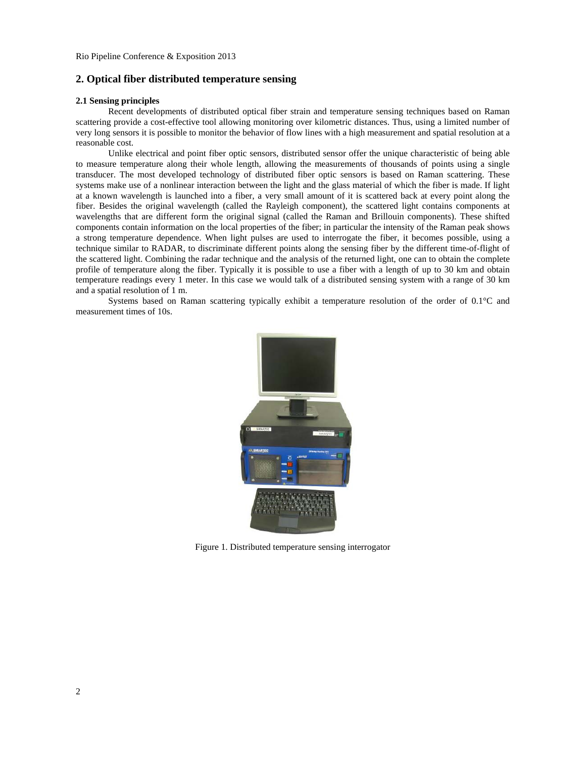# **2. Optical fiber distributed temperature sensing**

#### **2.1 Sensing principles**

 Recent developments of distributed optical fiber strain and temperature sensing techniques based on Raman scattering provide a cost-effective tool allowing monitoring over kilometric distances. Thus, using a limited number of very long sensors it is possible to monitor the behavior of flow lines with a high measurement and spatial resolution at a reasonable cost.

Unlike electrical and point fiber optic sensors, distributed sensor offer the unique characteristic of being able to measure temperature along their whole length, allowing the measurements of thousands of points using a single transducer. The most developed technology of distributed fiber optic sensors is based on Raman scattering. These systems make use of a nonlinear interaction between the light and the glass material of which the fiber is made. If light at a known wavelength is launched into a fiber, a very small amount of it is scattered back at every point along the fiber. Besides the original wavelength (called the Rayleigh component), the scattered light contains components at wavelengths that are different form the original signal (called the Raman and Brillouin components). These shifted components contain information on the local properties of the fiber; in particular the intensity of the Raman peak shows a strong temperature dependence. When light pulses are used to interrogate the fiber, it becomes possible, using a technique similar to RADAR, to discriminate different points along the sensing fiber by the different time-of-flight of the scattered light. Combining the radar technique and the analysis of the returned light, one can to obtain the complete profile of temperature along the fiber. Typically it is possible to use a fiber with a length of up to 30 km and obtain temperature readings every 1 meter. In this case we would talk of a distributed sensing system with a range of 30 km and a spatial resolution of 1 m.

Systems based on Raman scattering typically exhibit a temperature resolution of the order of 0.1°C and measurement times of 10s.



Figure 1. Distributed temperature sensing interrogator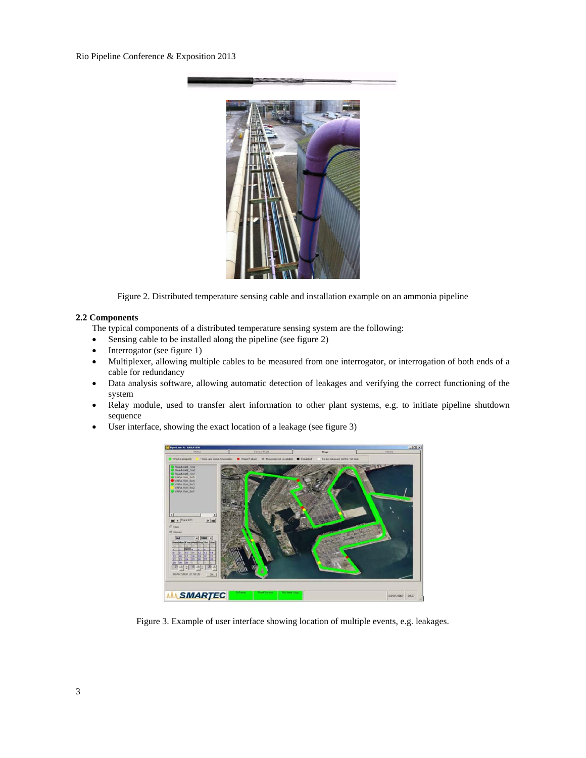

Figure 2. Distributed temperature sensing cable and installation example on an ammonia pipeline

### **2.2 Components**

The typical components of a distributed temperature sensing system are the following:

- Sensing cable to be installed along the pipeline (see figure 2)
- Interrogator (see figure 1)
- Multiplexer, allowing multiple cables to be measured from one interrogator, or interrogation of both ends of a cable for redundancy
- Data analysis software, allowing automatic detection of leakages and verifying the correct functioning of the system
- Relay module, used to transfer alert information to other plant systems, e.g. to initiate pipeline shutdown sequence
- User interface, showing the exact location of a leakage (see figure 3)



Figure 3. Example of user interface showing location of multiple events, e.g. leakages.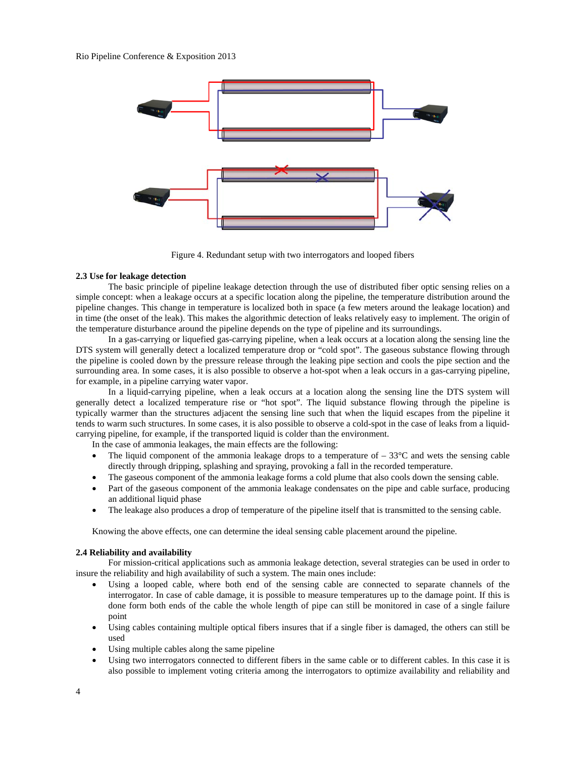

Figure 4. Redundant setup with two interrogators and looped fibers

### **2.3 Use for leakage detection**

 The basic principle of pipeline leakage detection through the use of distributed fiber optic sensing relies on a simple concept: when a leakage occurs at a specific location along the pipeline, the temperature distribution around the pipeline changes. This change in temperature is localized both in space (a few meters around the leakage location) and in time (the onset of the leak). This makes the algorithmic detection of leaks relatively easy to implement. The origin of the temperature disturbance around the pipeline depends on the type of pipeline and its surroundings.

In a gas-carrying or liquefied gas-carrying pipeline, when a leak occurs at a location along the sensing line the DTS system will generally detect a localized temperature drop or "cold spot". The gaseous substance flowing through the pipeline is cooled down by the pressure release through the leaking pipe section and cools the pipe section and the surrounding area. In some cases, it is also possible to observe a hot-spot when a leak occurs in a gas-carrying pipeline, for example, in a pipeline carrying water vapor.

In a liquid-carrying pipeline, when a leak occurs at a location along the sensing line the DTS system will generally detect a localized temperature rise or "hot spot". The liquid substance flowing through the pipeline is typically warmer than the structures adjacent the sensing line such that when the liquid escapes from the pipeline it tends to warm such structures. In some cases, it is also possible to observe a cold-spot in the case of leaks from a liquidcarrying pipeline, for example, if the transported liquid is colder than the environment.

In the case of ammonia leakages, the main effects are the following:

- The liquid component of the ammonia leakage drops to a temperature of  $-33^{\circ}$ C and wets the sensing cable directly through dripping, splashing and spraying, provoking a fall in the recorded temperature.
- The gaseous component of the ammonia leakage forms a cold plume that also cools down the sensing cable.
- Part of the gaseous component of the ammonia leakage condensates on the pipe and cable surface, producing an additional liquid phase
- The leakage also produces a drop of temperature of the pipeline itself that is transmitted to the sensing cable.

Knowing the above effects, one can determine the ideal sensing cable placement around the pipeline.

#### **2.4 Reliability and availability**

 For mission-critical applications such as ammonia leakage detection, several strategies can be used in order to insure the reliability and high availability of such a system. The main ones include:

- Using a looped cable, where both end of the sensing cable are connected to separate channels of the interrogator. In case of cable damage, it is possible to measure temperatures up to the damage point. If this is done form both ends of the cable the whole length of pipe can still be monitored in case of a single failure point
- Using cables containing multiple optical fibers insures that if a single fiber is damaged, the others can still be used
- Using multiple cables along the same pipeline
- Using two interrogators connected to different fibers in the same cable or to different cables. In this case it is also possible to implement voting criteria among the interrogators to optimize availability and reliability and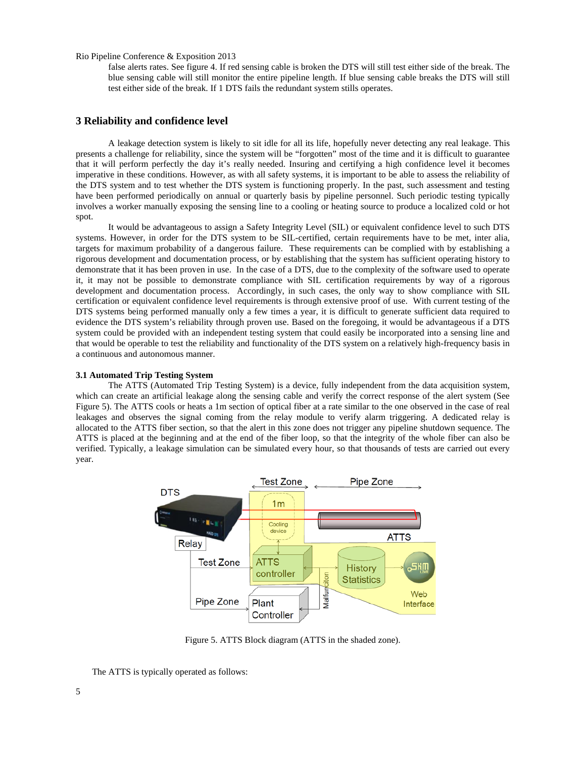false alerts rates. See figure 4. If red sensing cable is broken the DTS will still test either side of the break. The blue sensing cable will still monitor the entire pipeline length. If blue sensing cable breaks the DTS will still test either side of the break. If 1 DTS fails the redundant system stills operates.

## **3 Reliability and confidence level**

 A leakage detection system is likely to sit idle for all its life, hopefully never detecting any real leakage. This presents a challenge for reliability, since the system will be "forgotten" most of the time and it is difficult to guarantee that it will perform perfectly the day it's really needed. Insuring and certifying a high confidence level it becomes imperative in these conditions. However, as with all safety systems, it is important to be able to assess the reliability of the DTS system and to test whether the DTS system is functioning properly. In the past, such assessment and testing have been performed periodically on annual or quarterly basis by pipeline personnel. Such periodic testing typically involves a worker manually exposing the sensing line to a cooling or heating source to produce a localized cold or hot spot.

It would be advantageous to assign a Safety Integrity Level (SIL) or equivalent confidence level to such DTS systems. However, in order for the DTS system to be SIL-certified, certain requirements have to be met, inter alia, targets for maximum probability of a dangerous failure. These requirements can be complied with by establishing a rigorous development and documentation process, or by establishing that the system has sufficient operating history to demonstrate that it has been proven in use. In the case of a DTS, due to the complexity of the software used to operate it, it may not be possible to demonstrate compliance with SIL certification requirements by way of a rigorous development and documentation process. Accordingly, in such cases, the only way to show compliance with SIL certification or equivalent confidence level requirements is through extensive proof of use. With current testing of the DTS systems being performed manually only a few times a year, it is difficult to generate sufficient data required to evidence the DTS system's reliability through proven use. Based on the foregoing, it would be advantageous if a DTS system could be provided with an independent testing system that could easily be incorporated into a sensing line and that would be operable to test the reliability and functionality of the DTS system on a relatively high-frequency basis in a continuous and autonomous manner.

#### **3.1 Automated Trip Testing System**

 The ATTS (Automated Trip Testing System) is a device, fully independent from the data acquisition system, which can create an artificial leakage along the sensing cable and verify the correct response of the alert system (See Figure 5). The ATTS cools or heats a 1m section of optical fiber at a rate similar to the one observed in the case of real leakages and observes the signal coming from the relay module to verify alarm triggering. A dedicated relay is allocated to the ATTS fiber section, so that the alert in this zone does not trigger any pipeline shutdown sequence. The ATTS is placed at the beginning and at the end of the fiber loop, so that the integrity of the whole fiber can also be verified. Typically, a leakage simulation can be simulated every hour, so that thousands of tests are carried out every year.



Figure 5. ATTS Block diagram (ATTS in the shaded zone).

The ATTS is typically operated as follows: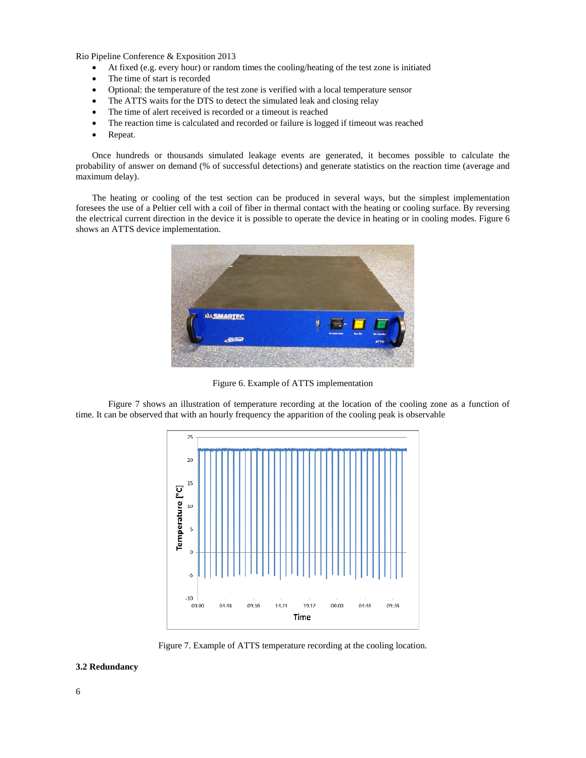- At fixed (e.g. every hour) or random times the cooling/heating of the test zone is initiated
- The time of start is recorded
- Optional: the temperature of the test zone is verified with a local temperature sensor
- The ATTS waits for the DTS to detect the simulated leak and closing relay
- The time of alert received is recorded or a timeout is reached
- The reaction time is calculated and recorded or failure is logged if timeout was reached
- Repeat.

Once hundreds or thousands simulated leakage events are generated, it becomes possible to calculate the probability of answer on demand (% of successful detections) and generate statistics on the reaction time (average and maximum delay).

The heating or cooling of the test section can be produced in several ways, but the simplest implementation foresees the use of a Peltier cell with a coil of fiber in thermal contact with the heating or cooling surface. By reversing the electrical current direction in the device it is possible to operate the device in heating or in cooling modes. Figure 6 shows an ATTS device implementation.



Figure 6. Example of ATTS implementation

Figure 7 shows an illustration of temperature recording at the location of the cooling zone as a function of time. It can be observed that with an hourly frequency the apparition of the cooling peak is observable



Figure 7. Example of ATTS temperature recording at the cooling location.

#### **3.2 Redundancy**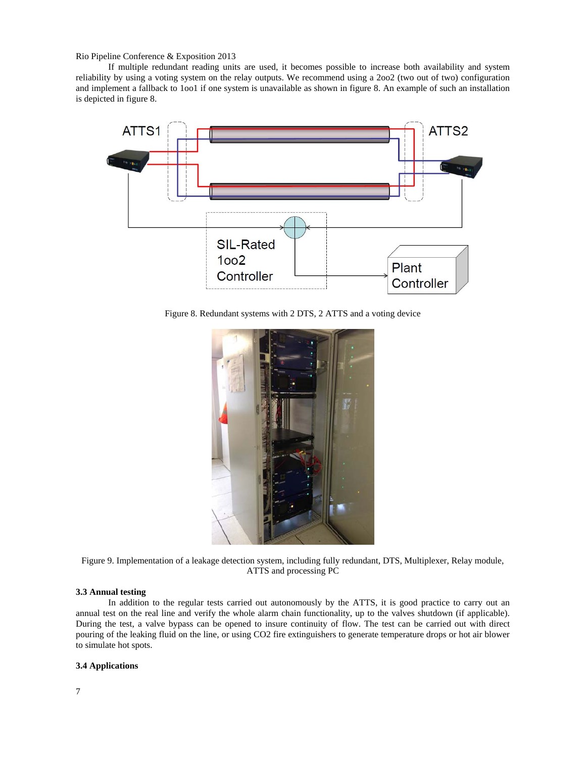If multiple redundant reading units are used, it becomes possible to increase both availability and system reliability by using a voting system on the relay outputs. We recommend using a 2oo2 (two out of two) configuration and implement a fallback to 1oo1 if one system is unavailable as shown in figure 8. An example of such an installation is depicted in figure 8.



Figure 8. Redundant systems with 2 DTS, 2 ATTS and a voting device



Figure 9. Implementation of a leakage detection system, including fully redundant, DTS, Multiplexer, Relay module, ATTS and processing PC

# **3.3 Annual testing**

In addition to the regular tests carried out autonomously by the ATTS, it is good practice to carry out an annual test on the real line and verify the whole alarm chain functionality, up to the valves shutdown (if applicable). During the test, a valve bypass can be opened to insure continuity of flow. The test can be carried out with direct pouring of the leaking fluid on the line, or using CO2 fire extinguishers to generate temperature drops or hot air blower to simulate hot spots.

#### **3.4 Applications**